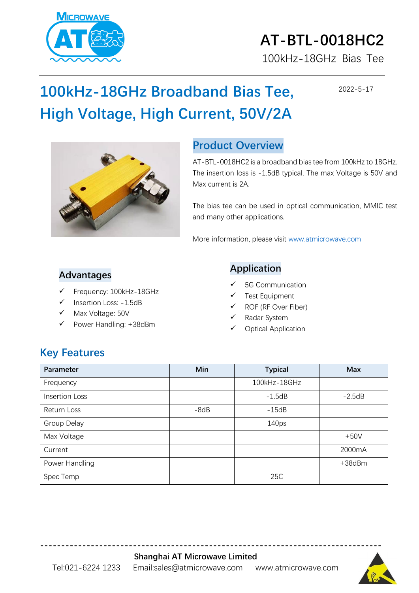

# **AT-BTL-0018HC2**

100kHz-18GHz Bias Tee

### **100kHz-18GHz Broadband Bias Tee, High Voltage, High Current, 50V/2A**

2022-5-17



#### **Product Overview**

AT-BTL-0018HC2 is a broadband bias tee from 100kHz to 18GHz. The insertion loss is -1.5dB typical. The max Voltage is 50V and Max current is 2A.

The bias tee can be used in optical communication, MMIC test and many other applications.

More information, please visit [www.atmicrowave.com](http://www.atmicrowave.com/)

#### **Advantages**

- Frequency: 100kHz-18GHz
- Insertion Loss: -1.5dB
- Max Voltage: 50V
- Power Handling: +38dBm

#### **Application**

- 5G Communication
- ✓ Test Equipment
- ✓ ROF (RF Over Fiber)
- ✓ Radar System
- Optical Application

#### **Key Features**

| Parameter      | Min    | <b>Typical</b>    | <b>Max</b>   |
|----------------|--------|-------------------|--------------|
| Frequency      |        | 100kHz-18GHz      |              |
| Insertion Loss |        | $-1.5dB$          | $-2.5dB$     |
| Return Loss    | $-8dB$ | $-15dB$           |              |
| Group Delay    |        | 140 <sub>ps</sub> |              |
| Max Voltage    |        |                   | $+50V$       |
| Current        |        |                   | 2000mA       |
| Power Handling |        |                   | $+38$ d $Bm$ |
| Spec Temp      |        | 25C               |              |

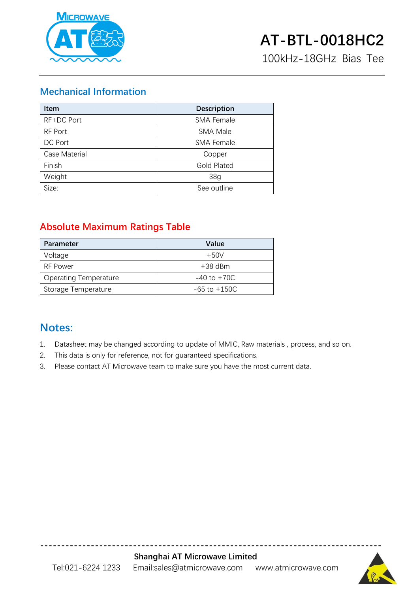

100kHz-18GHz Bias Tee

#### **Mechanical Information**

| <b>Item</b>   | <b>Description</b> |  |
|---------------|--------------------|--|
| RF+DC Port    | <b>SMA Female</b>  |  |
| RF Port       | <b>SMA Male</b>    |  |
| DC Port       | <b>SMA Female</b>  |  |
| Case Material | Copper             |  |
| Finish        | <b>Gold Plated</b> |  |
| Weight        | 38 <sub>g</sub>    |  |
| Size:         | See outline        |  |

#### **Absolute Maximum Ratings Table**

| <b>Parameter</b>             | Value            |
|------------------------------|------------------|
| Voltage                      | $+50V$           |
| RF Power                     | $+38$ dBm        |
| <b>Operating Temperature</b> | $-40$ to $+70C$  |
| Storage Temperature          | $-65$ to $+150C$ |

#### **Notes:**

- 1. Datasheet may be changed according to update of MMIC, Raw materials , process, and so on.
- 2. This data is only for reference, not for guaranteed specifications.
- 3. Please contact AT Microwave team to make sure you have the most current data.



**---------------------------------------------------------------------------------**